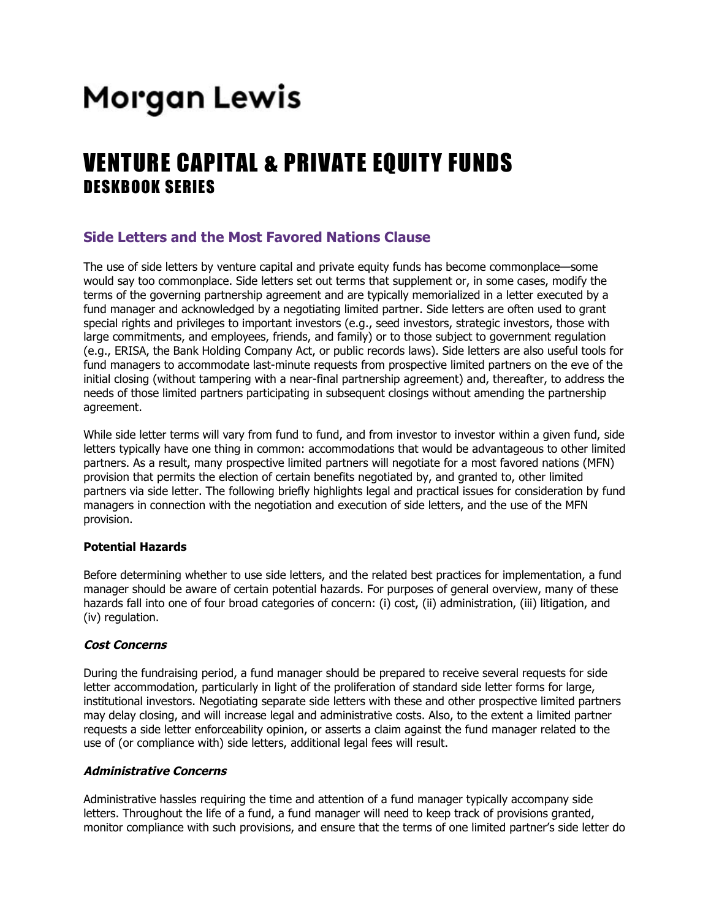# Morgan Lewis

## VENTURE CAPITAL & PRIVATE EQUITY FUNDS DESKBOOK SERIES

### **Side Letters and the Most Favored Nations Clause**

The use of side letters by venture capital and private equity funds has become commonplace—some would say too commonplace. Side letters set out terms that supplement or, in some cases, modify the terms of the governing partnership agreement and are typically memorialized in a letter executed by a fund manager and acknowledged by a negotiating limited partner. Side letters are often used to grant special rights and privileges to important investors (e.g., seed investors, strategic investors, those with large commitments, and employees, friends, and family) or to those subject to government regulation (e.g., ERISA, the Bank Holding Company Act, or public records laws). Side letters are also useful tools for fund managers to accommodate last-minute requests from prospective limited partners on the eve of the initial closing (without tampering with a near-final partnership agreement) and, thereafter, to address the needs of those limited partners participating in subsequent closings without amending the partnership agreement.

While side letter terms will vary from fund to fund, and from investor to investor within a given fund, side letters typically have one thing in common: accommodations that would be advantageous to other limited partners. As a result, many prospective limited partners will negotiate for a most favored nations (MFN) provision that permits the election of certain benefits negotiated by, and granted to, other limited partners via side letter. The following briefly highlights legal and practical issues for consideration by fund managers in connection with the negotiation and execution of side letters, and the use of the MFN provision.

#### **Potential Hazards**

Before determining whether to use side letters, and the related best practices for implementation, a fund manager should be aware of certain potential hazards. For purposes of general overview, many of these hazards fall into one of four broad categories of concern: (i) cost, (ii) administration, (iii) litigation, and (iv) regulation.

#### **Cost Concerns**

During the fundraising period, a fund manager should be prepared to receive several requests for side letter accommodation, particularly in light of the proliferation of standard side letter forms for large, institutional investors. Negotiating separate side letters with these and other prospective limited partners may delay closing, and will increase legal and administrative costs. Also, to the extent a limited partner requests a side letter enforceability opinion, or asserts a claim against the fund manager related to the use of (or compliance with) side letters, additional legal fees will result.

#### **Administrative Concerns**

Administrative hassles requiring the time and attention of a fund manager typically accompany side letters. Throughout the life of a fund, a fund manager will need to keep track of provisions granted, monitor compliance with such provisions, and ensure that the terms of one limited partner's side letter do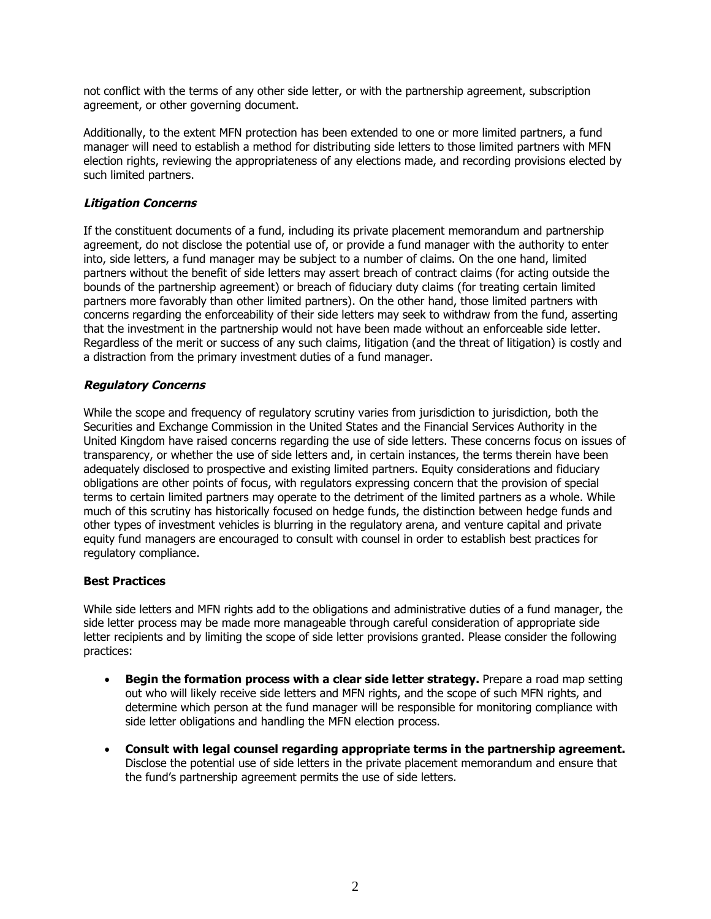not conflict with the terms of any other side letter, or with the partnership agreement, subscription agreement, or other governing document.

Additionally, to the extent MFN protection has been extended to one or more limited partners, a fund manager will need to establish a method for distributing side letters to those limited partners with MFN election rights, reviewing the appropriateness of any elections made, and recording provisions elected by such limited partners.

#### **Litigation Concerns**

If the constituent documents of a fund, including its private placement memorandum and partnership agreement, do not disclose the potential use of, or provide a fund manager with the authority to enter into, side letters, a fund manager may be subject to a number of claims. On the one hand, limited partners without the benefit of side letters may assert breach of contract claims (for acting outside the bounds of the partnership agreement) or breach of fiduciary duty claims (for treating certain limited partners more favorably than other limited partners). On the other hand, those limited partners with concerns regarding the enforceability of their side letters may seek to withdraw from the fund, asserting that the investment in the partnership would not have been made without an enforceable side letter. Regardless of the merit or success of any such claims, litigation (and the threat of litigation) is costly and a distraction from the primary investment duties of a fund manager.

#### **Regulatory Concerns**

While the scope and frequency of regulatory scrutiny varies from jurisdiction to jurisdiction, both the Securities and Exchange Commission in the United States and the Financial Services Authority in the United Kingdom have raised concerns regarding the use of side letters. These concerns focus on issues of transparency, or whether the use of side letters and, in certain instances, the terms therein have been adequately disclosed to prospective and existing limited partners. Equity considerations and fiduciary obligations are other points of focus, with regulators expressing concern that the provision of special terms to certain limited partners may operate to the detriment of the limited partners as a whole. While much of this scrutiny has historically focused on hedge funds, the distinction between hedge funds and other types of investment vehicles is blurring in the regulatory arena, and venture capital and private equity fund managers are encouraged to consult with counsel in order to establish best practices for regulatory compliance.

#### **Best Practices**

While side letters and MFN rights add to the obligations and administrative duties of a fund manager, the side letter process may be made more manageable through careful consideration of appropriate side letter recipients and by limiting the scope of side letter provisions granted. Please consider the following practices:

- **Begin the formation process with a clear side letter strategy.** Prepare a road map setting out who will likely receive side letters and MFN rights, and the scope of such MFN rights, and determine which person at the fund manager will be responsible for monitoring compliance with side letter obligations and handling the MFN election process.
- **Consult with legal counsel regarding appropriate terms in the partnership agreement.** Disclose the potential use of side letters in the private placement memorandum and ensure that the fund's partnership agreement permits the use of side letters.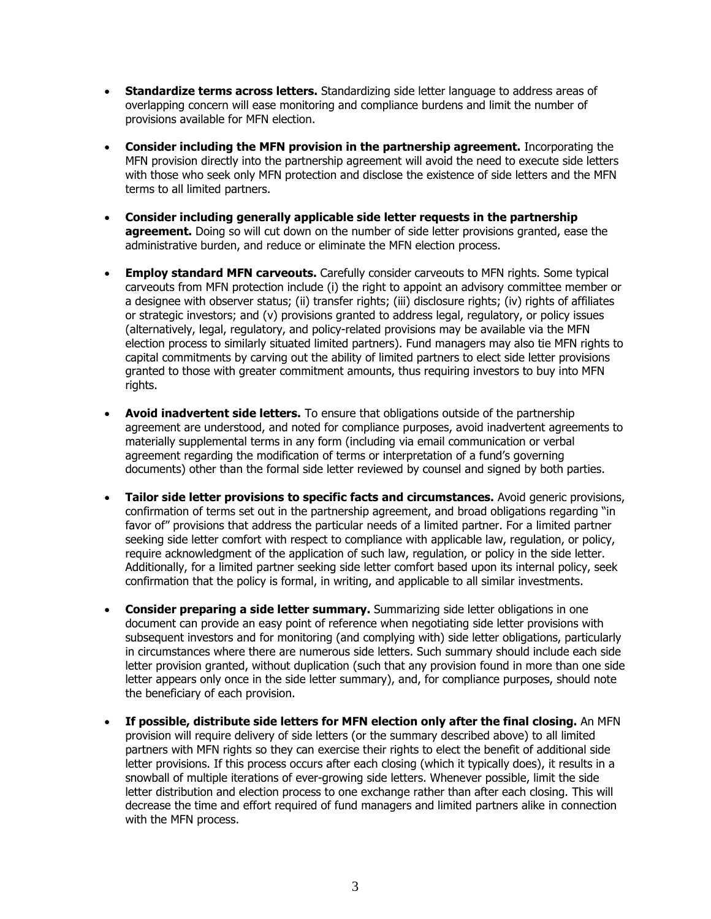- **Standardize terms across letters.** Standardizing side letter language to address areas of overlapping concern will ease monitoring and compliance burdens and limit the number of provisions available for MFN election.
- **Consider including the MFN provision in the partnership agreement.** Incorporating the MFN provision directly into the partnership agreement will avoid the need to execute side letters with those who seek only MFN protection and disclose the existence of side letters and the MFN terms to all limited partners.
- **Consider including generally applicable side letter requests in the partnership agreement.** Doing so will cut down on the number of side letter provisions granted, ease the administrative burden, and reduce or eliminate the MFN election process.
- **Employ standard MFN carveouts.** Carefully consider carveouts to MFN rights. Some typical carveouts from MFN protection include (i) the right to appoint an advisory committee member or a designee with observer status; (ii) transfer rights; (iii) disclosure rights; (iv) rights of affiliates or strategic investors; and (v) provisions granted to address legal, regulatory, or policy issues (alternatively, legal, regulatory, and policy-related provisions may be available via the MFN election process to similarly situated limited partners). Fund managers may also tie MFN rights to capital commitments by carving out the ability of limited partners to elect side letter provisions granted to those with greater commitment amounts, thus requiring investors to buy into MFN rights.
- **Avoid inadvertent side letters.** To ensure that obligations outside of the partnership agreement are understood, and noted for compliance purposes, avoid inadvertent agreements to materially supplemental terms in any form (including via email communication or verbal agreement regarding the modification of terms or interpretation of a fund's governing documents) other than the formal side letter reviewed by counsel and signed by both parties.
- **Tailor side letter provisions to specific facts and circumstances.** Avoid generic provisions, confirmation of terms set out in the partnership agreement, and broad obligations regarding "in favor of" provisions that address the particular needs of a limited partner. For a limited partner seeking side letter comfort with respect to compliance with applicable law, regulation, or policy, require acknowledgment of the application of such law, regulation, or policy in the side letter. Additionally, for a limited partner seeking side letter comfort based upon its internal policy, seek confirmation that the policy is formal, in writing, and applicable to all similar investments.
- **Consider preparing a side letter summary.** Summarizing side letter obligations in one document can provide an easy point of reference when negotiating side letter provisions with subsequent investors and for monitoring (and complying with) side letter obligations, particularly in circumstances where there are numerous side letters. Such summary should include each side letter provision granted, without duplication (such that any provision found in more than one side letter appears only once in the side letter summary), and, for compliance purposes, should note the beneficiary of each provision.
- **If possible, distribute side letters for MFN election only after the final closing.** An MFN provision will require delivery of side letters (or the summary described above) to all limited partners with MFN rights so they can exercise their rights to elect the benefit of additional side letter provisions. If this process occurs after each closing (which it typically does), it results in a snowball of multiple iterations of ever-growing side letters. Whenever possible, limit the side letter distribution and election process to one exchange rather than after each closing. This will decrease the time and effort required of fund managers and limited partners alike in connection with the MFN process.